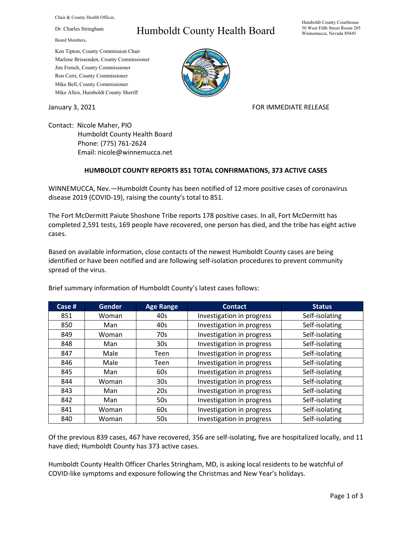Chair & County Health Officer,

Dr. Charles Stringham

Board Members,

## Humboldt County Health Board

Humboldt County Courthouse 50 West Fifth Street Room 205 Winnemucca, Nevada 89445

Ken Tipton, County Commission Chair Marlene Brissenden, County Commissioner Jim French, County Commissioner Ron Cerri, County Commissioner Mike Bell, County Commissioner Mike Allen, Humboldt County Sheriff

January 3, 2021 **FOR IMMEDIATE RELEASE** 

Contact: Nicole Maher, PIO Humboldt County Health Board Phone: (775) 761-2624 Email: nicole@winnemucca.net

## **HUMBOLDT COUNTY REPORTS 851 TOTAL CONFIRMATIONS, 373 ACTIVE CASES**

WINNEMUCCA, Nev.—Humboldt County has been notified of 12 more positive cases of coronavirus disease 2019 (COVID-19), raising the county's total to 851.

The Fort McDermitt Paiute Shoshone Tribe reports 178 positive cases. In all, Fort McDermitt has completed 2,591 tests, 169 people have recovered, one person has died, and the tribe has eight active cases.

Based on available information, close contacts of the newest Humboldt County cases are being identified or have been notified and are following self-isolation procedures to prevent community spread of the virus.

| Case # | <b>Gender</b> | <b>Age Range</b> | <b>Contact</b>            | <b>Status</b>  |
|--------|---------------|------------------|---------------------------|----------------|
| 851    | Woman         | 40s              | Investigation in progress | Self-isolating |
| 850    | Man           | 40s              | Investigation in progress | Self-isolating |
| 849    | Woman         | 70s              | Investigation in progress | Self-isolating |
| 848    | Man           | 30 <sub>s</sub>  | Investigation in progress | Self-isolating |
| 847    | Male          | Teen             | Investigation in progress | Self-isolating |
| 846    | Male          | Teen             | Investigation in progress | Self-isolating |
| 845    | Man           | 60s              | Investigation in progress | Self-isolating |
| 844    | Woman         | 30 <sub>s</sub>  | Investigation in progress | Self-isolating |
| 843    | Man           | 20s              | Investigation in progress | Self-isolating |
| 842    | Man           | 50s              | Investigation in progress | Self-isolating |
| 841    | Woman         | 60s              | Investigation in progress | Self-isolating |
| 840    | Woman         | 50s              | Investigation in progress | Self-isolating |

Brief summary information of Humboldt County's latest cases follows:

Of the previous 839 cases, 467 have recovered, 356 are self-isolating, five are hospitalized locally, and 11 have died; Humboldt County has 373 active cases.

Humboldt County Health Officer Charles Stringham, MD, is asking local residents to be watchful of COVID-like symptoms and exposure following the Christmas and New Year's holidays.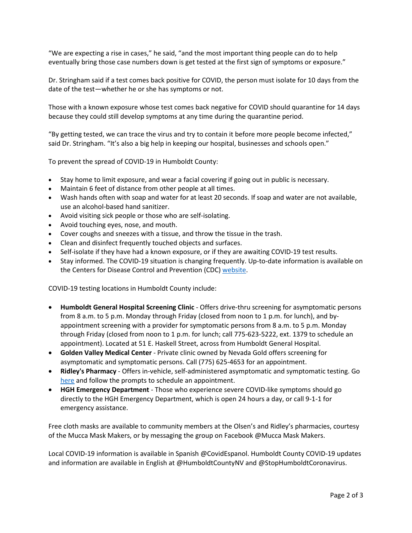"We are expecting a rise in cases," he said, "and the most important thing people can do to help eventually bring those case numbers down is get tested at the first sign of symptoms or exposure."

Dr. Stringham said if a test comes back positive for COVID, the person must isolate for 10 days from the date of the test—whether he or she has symptoms or not.

Those with a known exposure whose test comes back negative for COVID should quarantine for 14 days because they could still develop symptoms at any time during the quarantine period.

"By getting tested, we can trace the virus and try to contain it before more people become infected," said Dr. Stringham. "It's also a big help in keeping our hospital, businesses and schools open."

To prevent the spread of COVID-19 in Humboldt County:

- Stay home to limit exposure, and wear a facial covering if going out in public is necessary.
- Maintain 6 feet of distance from other people at all times.
- Wash hands often with soap and water for at least 20 seconds. If soap and water are not available, use an alcohol-based hand sanitizer.
- Avoid visiting sick people or those who are self-isolating.
- Avoid touching eyes, nose, and mouth.
- Cover coughs and sneezes with a tissue, and throw the tissue in the trash.
- Clean and disinfect frequently touched objects and surfaces.
- Self-isolate if they have had a known exposure, or if they are awaiting COVID-19 test results.
- Stay informed. The COVID-19 situation is changing frequently. Up-to-date information is available on the Centers for Disease Control and Prevention (CDC) [website.](http://www.cdc.gov/coronavirus/2019-ncov/index.html)

COVID-19 testing locations in Humboldt County include:

- **Humboldt General Hospital Screening Clinic** Offers drive-thru screening for asymptomatic persons from 8 a.m. to 5 p.m. Monday through Friday (closed from noon to 1 p.m. for lunch), and byappointment screening with a provider for symptomatic persons from 8 a.m. to 5 p.m. Monday through Friday (closed from noon to 1 p.m. for lunch; call 775-623-5222, ext. 1379 to schedule an appointment). Located at 51 E. Haskell Street, across from Humboldt General Hospital.
- **Golden Valley Medical Center** Private clinic owned by Nevada Gold offers screening for asymptomatic and symptomatic persons. Call (775) 625-4653 for an appointment.
- **Ridley's Pharmacy** Offers in-vehicle, self-administered asymptomatic and symptomatic testing. Go [here](https://www.doineedacovid19test.com/Winnemucca_NV_1098.html) and follow the prompts to schedule an appointment.
- **HGH Emergency Department**  Those who experience severe COVID-like symptoms should go directly to the HGH Emergency Department, which is open 24 hours a day, or call 9-1-1 for emergency assistance.

Free cloth masks are available to community members at the Olsen's and Ridley's pharmacies, courtesy of the Mucca Mask Makers, or by messaging the group on Facebook @Mucca Mask Makers.

Local COVID-19 information is available in Spanish @CovidEspanol. Humboldt County COVID-19 updates and information are available in English at @HumboldtCountyNV and @StopHumboldtCoronavirus.